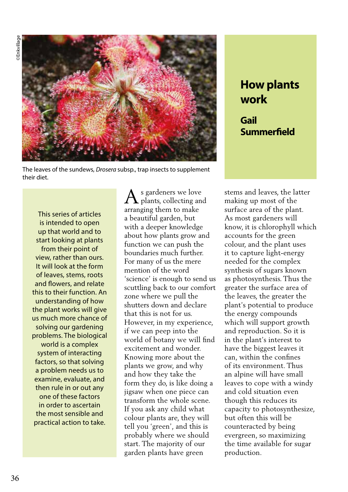

The leaves of the sundews, *Drosera* subsp., trap insects to supplement their diet.

This series of articles is intended to open up that world and to start looking at plants from their point of view, rather than ours. It will look at the form of leaves, stems, roots and flowers, and relate this to their function. An understanding of how the plant works will give us much more chance of solving our gardening problems. The biological world is a complex system of interacting factors, so that solving a problem needs us to examine, evaluate, and then rule in or out any one of these factors in order to ascertain the most sensible and practical action to take.

A s gardeners we love plants, collecting and arranging them to make a beautiful garden, but with a deeper knowledge about how plants grow and function we can push the boundaries much further. For many of us the mere mention of the word 'science' is enough to send us scuttling back to our comfort zone where we pull the shutters down and declare that this is not for us. However, in my experience, if we can peep into the world of botany we will find excitement and wonder. Knowing more about the plants we grow, and why and how they take the form they do, is like doing a jigsaw when one piece can transform the whole scene. If you ask any child what colour plants are, they will tell you 'green', and this is probably where we should start. The majority of our garden plants have green

**How plants work Gail Summerfield**

stems and leaves, the latter making up most of the surface area of the plant. As most gardeners will know, it is chlorophyll which accounts for the green colour, and the plant uses it to capture light-energy needed for the complex synthesis of sugars known as photosynthesis. Thus the greater the surface area of the leaves, the greater the plant's potential to produce the energy compounds which will support growth and reproduction. So it is in the plant's interest to have the biggest leaves it can, within the confines of its environment. Thus an alpine will have small leaves to cope with a windy and cold situation even though this reduces its capacity to photosynthesize, but often this will be counteracted by being evergreen, so maximizing the time available for sugar production.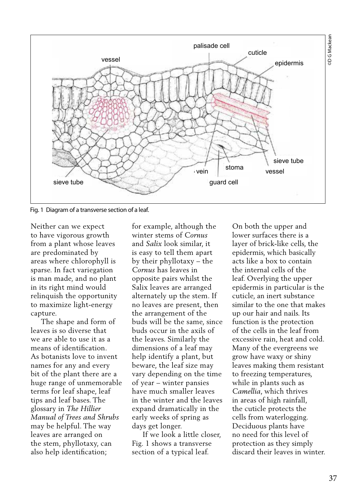

Fig. 1 Diagram of a transverse section of a leaf.

Neither can we expect to have vigorous growth from a plant whose leaves are predominated by areas where chlorophyll is sparse. In fact variegation is man made, and no plant in its right mind would relinquish the opportunity to maximize light-energy capture.

 The shape and form of leaves is so diverse that we are able to use it as a means of identification. As botanists love to invent names for any and every bit of the plant there are a huge range of unmemorable terms for leaf shape, leaf tips and leaf bases. The glossary in *The Hillier Manual of Trees and Shrubs*  may be helpful. The way leaves are arranged on the stem, phyllotaxy, can also help identification;

for example, although the winter stems of *Cornus* and *Salix* look similar, it is easy to tell them apart by their phyllotaxy – the *Cornus* has leaves in opposite pairs whilst the Salix leaves are arranged alternately up the stem. If no leaves are present, then the arrangement of the buds will be the same, since buds occur in the axils of the leaves. Similarly the dimensions of a leaf may help identify a plant, but beware, the leaf size may vary depending on the time of year – winter pansies have much smaller leaves in the winter and the leaves expand dramatically in the early weeks of spring as days get longer.

 If we look a little closer, Fig. 1 shows a transverse section of a typical leaf.

On both the upper and lower surfaces there is a layer of brick-like cells, the epidermis, which basically acts like a box to contain the internal cells of the leaf. Overlying the upper epidermis in particular is the cuticle, an inert substance similar to the one that makes up our hair and nails. Its function is the protection of the cells in the leaf from excessive rain, heat and cold. Many of the evergreens we grow have waxy or shiny leaves making them resistant to freezing temperatures, while in plants such as *Camellia*, which thrives in areas of high rainfall, the cuticle protects the cells from waterlogging. Deciduous plants have no need for this level of protection as they simply discard their leaves in winter.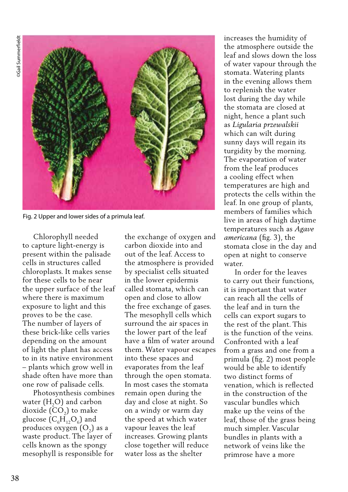

Fig. 2 Upper and lower sides of a primula leaf.

 Chlorophyll needed to capture light-energy is present within the palisade cells in structures called chloroplasts. It makes sense for these cells to be near the upper surface of the leaf where there is maximum exposure to light and this proves to be the case. The number of layers of these brick-like cells varies depending on the amount of light the plant has access to in its native environment – plants which grow well in shade often have more than one row of palisade cells.

 Photosynthesis combines water  $(H, O)$  and carbon dioxide  $(CO<sub>2</sub>)$  to make glucose  $(C_6H_1, O_6)$  and produces oxygen  $(O<sub>2</sub>)$  as a waste product. The layer of cells known as the spongy mesophyll is responsible for

the exchange of oxygen and carbon dioxide into and out of the leaf. Access to the atmosphere is provided by specialist cells situated in the lower epidermis called stomata, which can open and close to allow the free exchange of gases. The mesophyll cells which surround the air spaces in the lower part of the leaf have a film of water around them. Water vapour escapes into these spaces and evaporates from the leaf through the open stomata. In most cases the stomata remain open during the day and close at night. So on a windy or warm day the speed at which water vapour leaves the leaf increases. Growing plants close together will reduce water loss as the shelter

increases the humidity of the atmosphere outside the leaf and slows down the loss of water vapour through the stomata. Watering plants in the evening allows them to replenish the water lost during the day while the stomata are closed at night, hence a plant such as *Ligularia przewalskii* which can wilt during sunny days will regain its turgidity by the morning. The evaporation of water from the leaf produces a cooling effect when temperatures are high and protects the cells within the leaf. In one group of plants, members of families which live in areas of high daytime temperatures such as *Agave americana* (fig. 3), the stomata close in the day and open at night to conserve water.

 In order for the leaves to carry out their functions, it is important that water can reach all the cells of the leaf and in turn the cells can export sugars to the rest of the plant. This is the function of the veins. Confronted with a leaf from a grass and one from a primula (fig. 2) most people would be able to identify two distinct forms of venation, which is reflected in the construction of the vascular bundles which make up the veins of the leaf, those of the grass being much simpler. Vascular bundles in plants with a network of veins like the primrose have a more